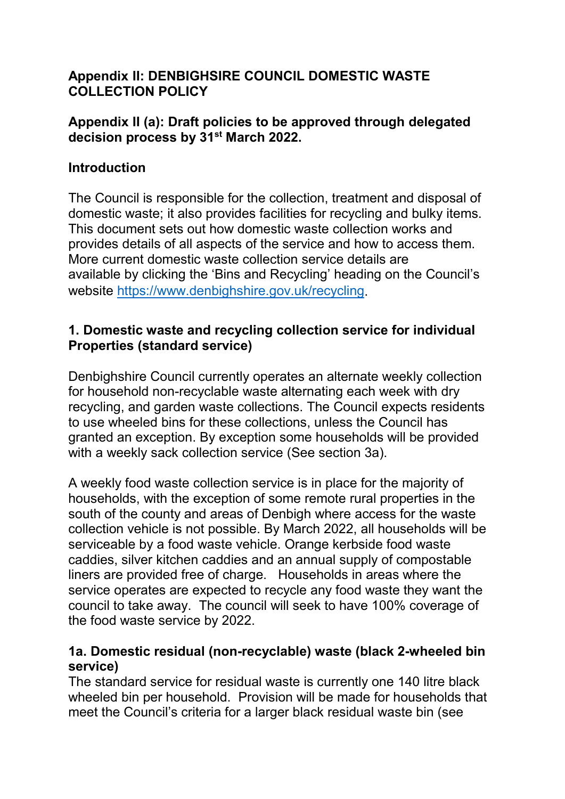# **Appendix II: DENBIGHSIRE COUNCIL DOMESTIC WASTE COLLECTION POLICY**

#### **Appendix II (a): Draft policies to be approved through delegated decision process by 31st March 2022.**

## **Introduction**

The Council is responsible for the collection, treatment and disposal of domestic waste; it also provides facilities for recycling and bulky items. This document sets out how domestic waste collection works and provides details of all aspects of the service and how to access them. More current domestic waste collection service details are available by clicking the 'Bins and Recycling' heading on the Council's website [https://www.denbighshire.gov.uk/recycling.](https://www.denbighshire.gov.uk/recycling)

## **1. Domestic waste and recycling collection service for individual Properties (standard service)**

Denbighshire Council currently operates an alternate weekly collection for household non-recyclable waste alternating each week with dry recycling, and garden waste collections. The Council expects residents to use wheeled bins for these collections, unless the Council has granted an exception. By exception some households will be provided with a weekly sack collection service (See section 3a).

A weekly food waste collection service is in place for the majority of households, with the exception of some remote rural properties in the south of the county and areas of Denbigh where access for the waste collection vehicle is not possible. By March 2022, all households will be serviceable by a food waste vehicle. Orange kerbside food waste caddies, silver kitchen caddies and an annual supply of compostable liners are provided free of charge. Households in areas where the service operates are expected to recycle any food waste they want the council to take away. The council will seek to have 100% coverage of the food waste service by 2022.

## **1a. Domestic residual (non-recyclable) waste (black 2-wheeled bin service)**

The standard service for residual waste is currently one 140 litre black wheeled bin per household. Provision will be made for households that meet the Council's criteria for a larger black residual waste bin (see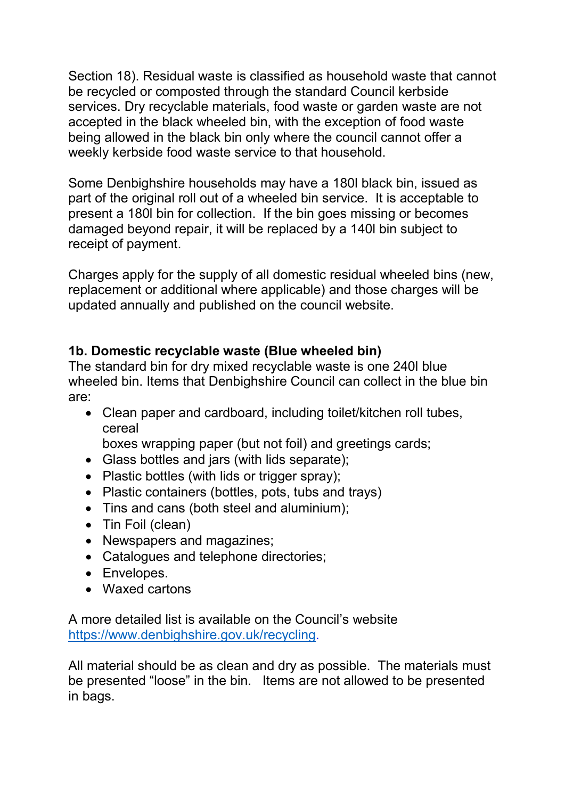Section 18). Residual waste is classified as household waste that cannot be recycled or composted through the standard Council kerbside services. Dry recyclable materials, food waste or garden waste are not accepted in the black wheeled bin, with the exception of food waste being allowed in the black bin only where the council cannot offer a weekly kerbside food waste service to that household.

Some Denbighshire households may have a 180l black bin, issued as part of the original roll out of a wheeled bin service. It is acceptable to present a 180l bin for collection. If the bin goes missing or becomes damaged beyond repair, it will be replaced by a 140l bin subject to receipt of payment.

Charges apply for the supply of all domestic residual wheeled bins (new, replacement or additional where applicable) and those charges will be updated annually and published on the council website.

## **1b. Domestic recyclable waste (Blue wheeled bin)**

The standard bin for dry mixed recyclable waste is one 240l blue wheeled bin. Items that Denbighshire Council can collect in the blue bin are:

• Clean paper and cardboard, including toilet/kitchen roll tubes, cereal

boxes wrapping paper (but not foil) and greetings cards;

- Glass bottles and jars (with lids separate);
- Plastic bottles (with lids or trigger spray);
- Plastic containers (bottles, pots, tubs and trays)
- Tins and cans (both steel and aluminium);
- Tin Foil (clean)
- Newspapers and magazines;
- Catalogues and telephone directories;
- Envelopes.
- Waxed cartons

A more detailed list is available on the Council's website [https://www.denbighshire.gov.uk/recycling.](https://www.denbighshire.gov.uk/recycling)

All material should be as clean and dry as possible. The materials must be presented "loose" in the bin. Items are not allowed to be presented in bags.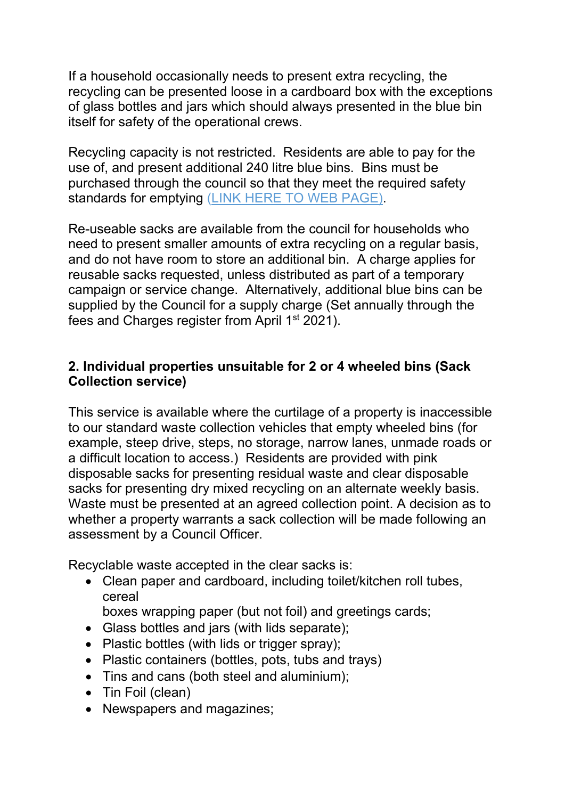If a household occasionally needs to present extra recycling, the recycling can be presented loose in a cardboard box with the exceptions of glass bottles and jars which should always presented in the blue bin itself for safety of the operational crews.

Recycling capacity is not restricted. Residents are able to pay for the use of, and present additional 240 litre blue bins. Bins must be purchased through the council so that they meet the required safety standards for emptying (LINK HERE TO WEB PAGE).

Re-useable sacks are available from the council for households who need to present smaller amounts of extra recycling on a regular basis, and do not have room to store an additional bin. A charge applies for reusable sacks requested, unless distributed as part of a temporary campaign or service change. Alternatively, additional blue bins can be supplied by the Council for a supply charge (Set annually through the fees and Charges register from April 1st 2021).

# **2. Individual properties unsuitable for 2 or 4 wheeled bins (Sack Collection service)**

This service is available where the curtilage of a property is inaccessible to our standard waste collection vehicles that empty wheeled bins (for example, steep drive, steps, no storage, narrow lanes, unmade roads or a difficult location to access.) Residents are provided with pink disposable sacks for presenting residual waste and clear disposable sacks for presenting dry mixed recycling on an alternate weekly basis. Waste must be presented at an agreed collection point. A decision as to whether a property warrants a sack collection will be made following an assessment by a Council Officer.

Recyclable waste accepted in the clear sacks is:

- Clean paper and cardboard, including toilet/kitchen roll tubes, cereal
	- boxes wrapping paper (but not foil) and greetings cards;
- Glass bottles and jars (with lids separate);
- Plastic bottles (with lids or trigger spray);
- Plastic containers (bottles, pots, tubs and trays)
- Tins and cans (both steel and aluminium);
- Tin Foil (clean)
- Newspapers and magazines;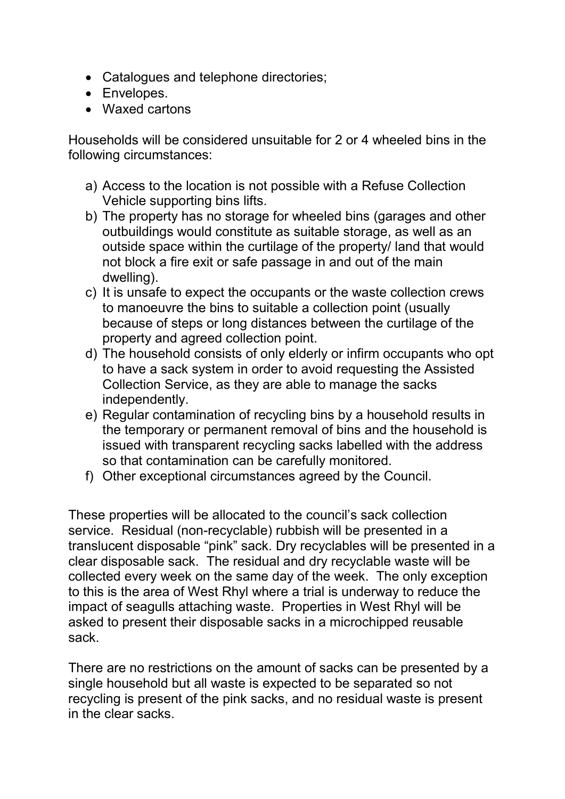- Catalogues and telephone directories;
- Envelopes.
- Waxed cartons

Households will be considered unsuitable for 2 or 4 wheeled bins in the following circumstances:

- a) Access to the location is not possible with a Refuse Collection Vehicle supporting bins lifts.
- b) The property has no storage for wheeled bins (garages and other outbuildings would constitute as suitable storage, as well as an outside space within the curtilage of the property/ land that would not block a fire exit or safe passage in and out of the main dwelling).
- c) It is unsafe to expect the occupants or the waste collection crews to manoeuvre the bins to suitable a collection point (usually because of steps or long distances between the curtilage of the property and agreed collection point.
- d) The household consists of only elderly or infirm occupants who opt to have a sack system in order to avoid requesting the Assisted Collection Service, as they are able to manage the sacks independently.
- e) Regular contamination of recycling bins by a household results in the temporary or permanent removal of bins and the household is issued with transparent recycling sacks labelled with the address so that contamination can be carefully monitored.
- f) Other exceptional circumstances agreed by the Council.

These properties will be allocated to the council's sack collection service. Residual (non-recyclable) rubbish will be presented in a translucent disposable "pink" sack. Dry recyclables will be presented in a clear disposable sack. The residual and dry recyclable waste will be collected every week on the same day of the week. The only exception to this is the area of West Rhyl where a trial is underway to reduce the impact of seagulls attaching waste. Properties in West Rhyl will be asked to present their disposable sacks in a microchipped reusable sack.

There are no restrictions on the amount of sacks can be presented by a single household but all waste is expected to be separated so not recycling is present of the pink sacks, and no residual waste is present in the clear sacks.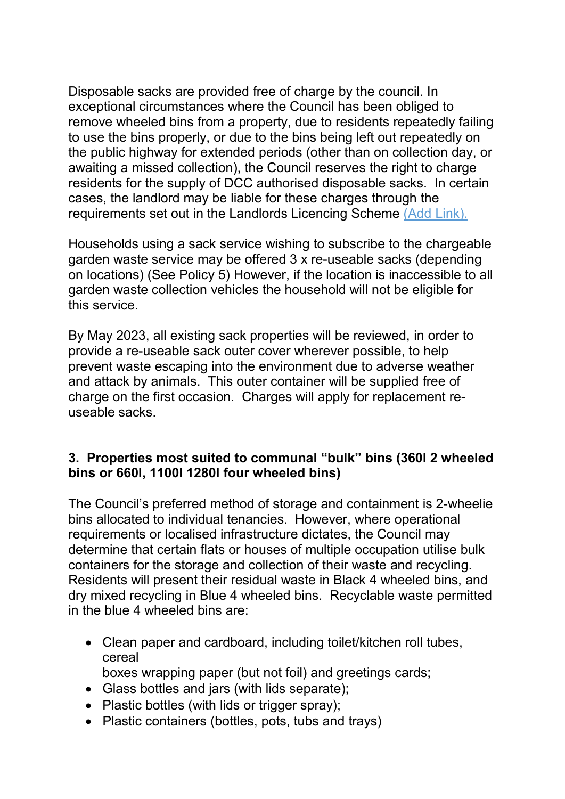Disposable sacks are provided free of charge by the council. In exceptional circumstances where the Council has been obliged to remove wheeled bins from a property, due to residents repeatedly failing to use the bins properly, or due to the bins being left out repeatedly on the public highway for extended periods (other than on collection day, or awaiting a missed collection), the Council reserves the right to charge residents for the supply of DCC authorised disposable sacks. In certain cases, the landlord may be liable for these charges through the requirements set out in the Landlords Licencing Scheme (Add Link).

Households using a sack service wishing to subscribe to the chargeable garden waste service may be offered 3 x re-useable sacks (depending on locations) (See Policy 5) However, if the location is inaccessible to all garden waste collection vehicles the household will not be eligible for this service.

By May 2023, all existing sack properties will be reviewed, in order to provide a re-useable sack outer cover wherever possible, to help prevent waste escaping into the environment due to adverse weather and attack by animals. This outer container will be supplied free of charge on the first occasion. Charges will apply for replacement reuseable sacks.

#### **3. Properties most suited to communal "bulk" bins (360l 2 wheeled bins or 660l, 1100l 1280l four wheeled bins)**

The Council's preferred method of storage and containment is 2-wheelie bins allocated to individual tenancies. However, where operational requirements or localised infrastructure dictates, the Council may determine that certain flats or houses of multiple occupation utilise bulk containers for the storage and collection of their waste and recycling. Residents will present their residual waste in Black 4 wheeled bins, and dry mixed recycling in Blue 4 wheeled bins. Recyclable waste permitted in the blue 4 wheeled bins are:

- Clean paper and cardboard, including toilet/kitchen roll tubes, cereal
- boxes wrapping paper (but not foil) and greetings cards;
- Glass bottles and jars (with lids separate); • Plastic bottles (with lids or trigger spray);
- Plastic containers (bottles, pots, tubs and trays)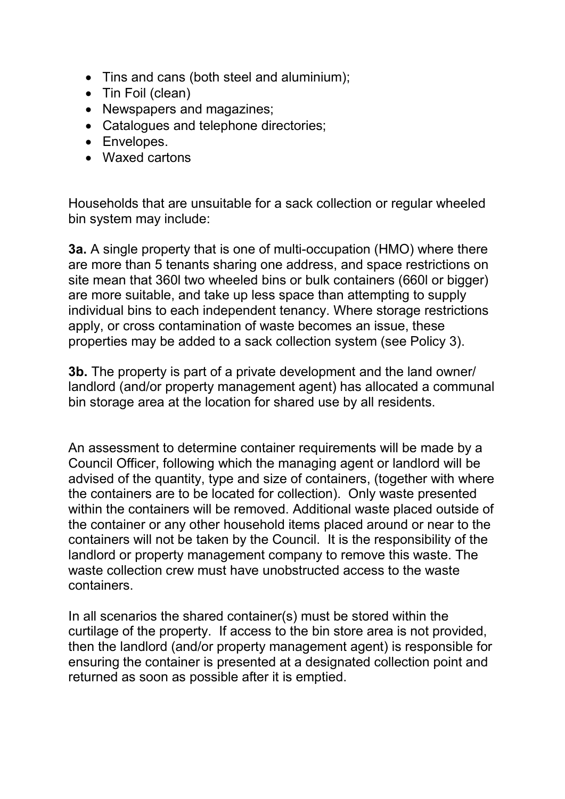- Tins and cans (both steel and aluminium);
- Tin Foil (clean)
- Newspapers and magazines;
- Catalogues and telephone directories;
- Envelopes.
- Waxed cartons

Households that are unsuitable for a sack collection or regular wheeled bin system may include:

**3a.** A single property that is one of multi-occupation (HMO) where there are more than 5 tenants sharing one address, and space restrictions on site mean that 360l two wheeled bins or bulk containers (660l or bigger) are more suitable, and take up less space than attempting to supply individual bins to each independent tenancy. Where storage restrictions apply, or cross contamination of waste becomes an issue, these properties may be added to a sack collection system (see Policy 3).

**3b.** The property is part of a private development and the land owner/ landlord (and/or property management agent) has allocated a communal bin storage area at the location for shared use by all residents.

An assessment to determine container requirements will be made by a Council Officer, following which the managing agent or landlord will be advised of the quantity, type and size of containers, (together with where the containers are to be located for collection). Only waste presented within the containers will be removed. Additional waste placed outside of the container or any other household items placed around or near to the containers will not be taken by the Council. It is the responsibility of the landlord or property management company to remove this waste. The waste collection crew must have unobstructed access to the waste containers.

In all scenarios the shared container(s) must be stored within the curtilage of the property. If access to the bin store area is not provided, then the landlord (and/or property management agent) is responsible for ensuring the container is presented at a designated collection point and returned as soon as possible after it is emptied.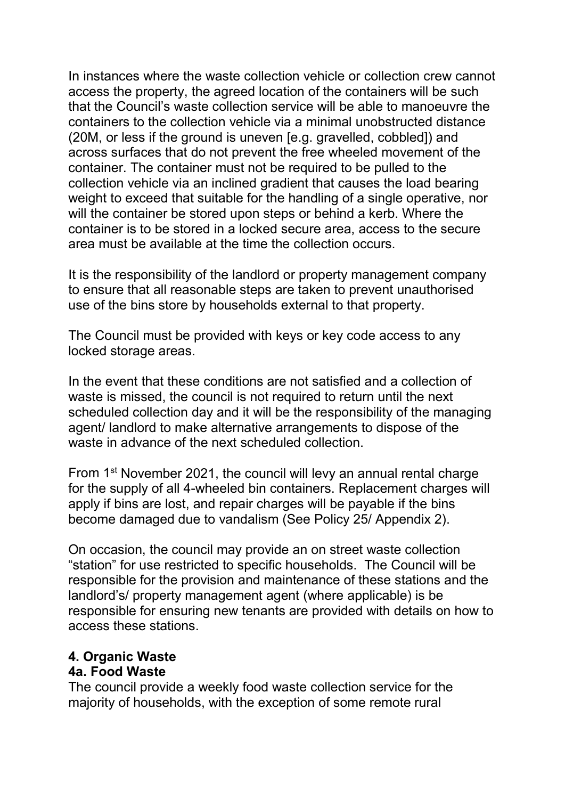In instances where the waste collection vehicle or collection crew cannot access the property, the agreed location of the containers will be such that the Council's waste collection service will be able to manoeuvre the containers to the collection vehicle via a minimal unobstructed distance (20M, or less if the ground is uneven [e.g. gravelled, cobbled]) and across surfaces that do not prevent the free wheeled movement of the container. The container must not be required to be pulled to the collection vehicle via an inclined gradient that causes the load bearing weight to exceed that suitable for the handling of a single operative, nor will the container be stored upon steps or behind a kerb. Where the container is to be stored in a locked secure area, access to the secure area must be available at the time the collection occurs.

It is the responsibility of the landlord or property management company to ensure that all reasonable steps are taken to prevent unauthorised use of the bins store by households external to that property.

The Council must be provided with keys or key code access to any locked storage areas.

In the event that these conditions are not satisfied and a collection of waste is missed, the council is not required to return until the next scheduled collection day and it will be the responsibility of the managing agent/ landlord to make alternative arrangements to dispose of the waste in advance of the next scheduled collection.

From 1st November 2021, the council will levy an annual rental charge for the supply of all 4-wheeled bin containers. Replacement charges will apply if bins are lost, and repair charges will be payable if the bins become damaged due to vandalism (See Policy 25/ Appendix 2).

On occasion, the council may provide an on street waste collection "station" for use restricted to specific households. The Council will be responsible for the provision and maintenance of these stations and the landlord's/ property management agent (where applicable) is be responsible for ensuring new tenants are provided with details on how to access these stations.

# **4. Organic Waste**

#### **4a. Food Waste**

The council provide a weekly food waste collection service for the majority of households, with the exception of some remote rural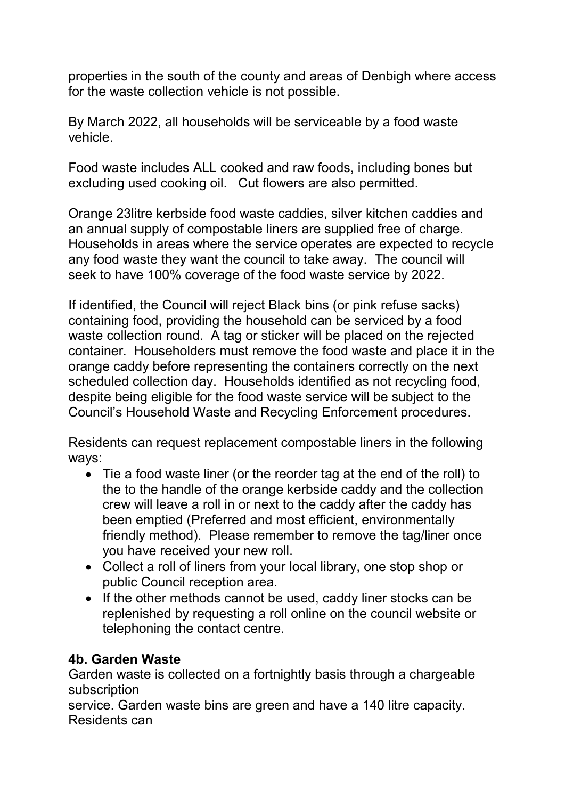properties in the south of the county and areas of Denbigh where access for the waste collection vehicle is not possible.

By March 2022, all households will be serviceable by a food waste vehicle.

Food waste includes ALL cooked and raw foods, including bones but excluding used cooking oil. Cut flowers are also permitted.

Orange 23litre kerbside food waste caddies, silver kitchen caddies and an annual supply of compostable liners are supplied free of charge. Households in areas where the service operates are expected to recycle any food waste they want the council to take away. The council will seek to have 100% coverage of the food waste service by 2022.

If identified, the Council will reject Black bins (or pink refuse sacks) containing food, providing the household can be serviced by a food waste collection round. A tag or sticker will be placed on the rejected container. Householders must remove the food waste and place it in the orange caddy before representing the containers correctly on the next scheduled collection day. Households identified as not recycling food, despite being eligible for the food waste service will be subject to the Council's Household Waste and Recycling Enforcement procedures.

Residents can request replacement compostable liners in the following ways:

- Tie a food waste liner (or the reorder tag at the end of the roll) to the to the handle of the orange kerbside caddy and the collection crew will leave a roll in or next to the caddy after the caddy has been emptied (Preferred and most efficient, environmentally friendly method). Please remember to remove the tag/liner once you have received your new roll.
- Collect a roll of liners from your local library, one stop shop or public Council reception area.
- If the other methods cannot be used, caddy liner stocks can be replenished by requesting a roll online on the council website or telephoning the contact centre.

#### **4b. Garden Waste**

Garden waste is collected on a fortnightly basis through a chargeable subscription

service. Garden waste bins are green and have a 140 litre capacity. Residents can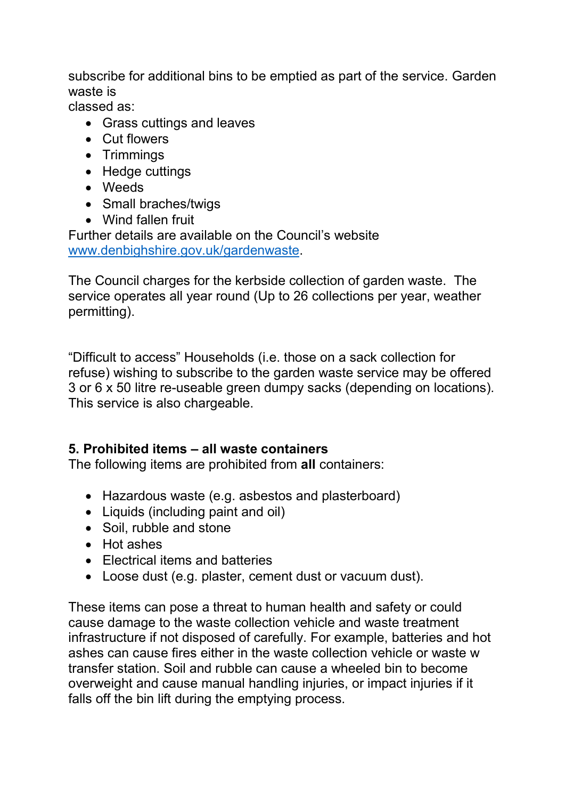subscribe for additional bins to be emptied as part of the service. Garden waste is

classed as:

- Grass cuttings and leaves
- Cut flowers
- Trimmings
- Hedge cuttings
- Weeds
- Small braches/twigs
- Wind fallen fruit

Further details are available on the Council's website [www.denbighshire.gov.uk/gardenwaste.](http://www.denbighshire.gov.uk/gardenwaste)

The Council charges for the kerbside collection of garden waste. The service operates all year round (Up to 26 collections per year, weather permitting).

"Difficult to access" Households (i.e. those on a sack collection for refuse) wishing to subscribe to the garden waste service may be offered 3 or 6 x 50 litre re-useable green dumpy sacks (depending on locations). This service is also chargeable.

# **5. Prohibited items – all waste containers**

The following items are prohibited from **all** containers:

- Hazardous waste (e.g. asbestos and plasterboard)
- Liquids (including paint and oil)
- Soil, rubble and stone
- Hot ashes
- Electrical items and batteries
- Loose dust (e.g. plaster, cement dust or vacuum dust).

These items can pose a threat to human health and safety or could cause damage to the waste collection vehicle and waste treatment infrastructure if not disposed of carefully. For example, batteries and hot ashes can cause fires either in the waste collection vehicle or waste w transfer station. Soil and rubble can cause a wheeled bin to become overweight and cause manual handling injuries, or impact injuries if it falls off the bin lift during the emptying process.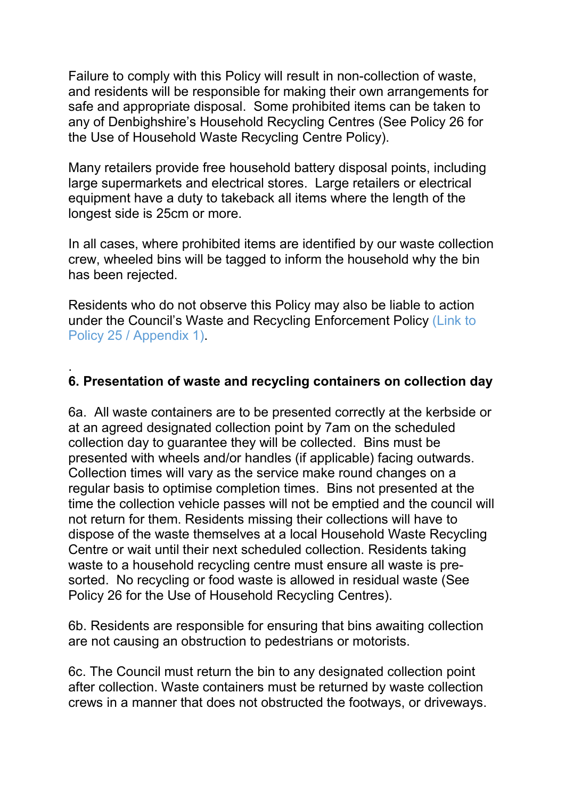Failure to comply with this Policy will result in non-collection of waste, and residents will be responsible for making their own arrangements for safe and appropriate disposal. Some prohibited items can be taken to any of Denbighshire's Household Recycling Centres (See Policy 26 for the Use of Household Waste Recycling Centre Policy).

Many retailers provide free household battery disposal points, including large supermarkets and electrical stores. Large retailers or electrical equipment have a duty to takeback all items where the length of the longest side is 25cm or more.

In all cases, where prohibited items are identified by our waste collection crew, wheeled bins will be tagged to inform the household why the bin has been rejected.

Residents who do not observe this Policy may also be liable to action under the Council's Waste and Recycling Enforcement Policy (Link to Policy 25 / Appendix 1).

#### . **6. Presentation of waste and recycling containers on collection day**

6a. All waste containers are to be presented correctly at the kerbside or at an agreed designated collection point by 7am on the scheduled collection day to guarantee they will be collected. Bins must be presented with wheels and/or handles (if applicable) facing outwards. Collection times will vary as the service make round changes on a regular basis to optimise completion times. Bins not presented at the time the collection vehicle passes will not be emptied and the council will not return for them. Residents missing their collections will have to dispose of the waste themselves at a local Household Waste Recycling Centre or wait until their next scheduled collection. Residents taking waste to a household recycling centre must ensure all waste is presorted. No recycling or food waste is allowed in residual waste (See Policy 26 for the Use of Household Recycling Centres).

6b. Residents are responsible for ensuring that bins awaiting collection are not causing an obstruction to pedestrians or motorists.

6c. The Council must return the bin to any designated collection point after collection. Waste containers must be returned by waste collection crews in a manner that does not obstructed the footways, or driveways.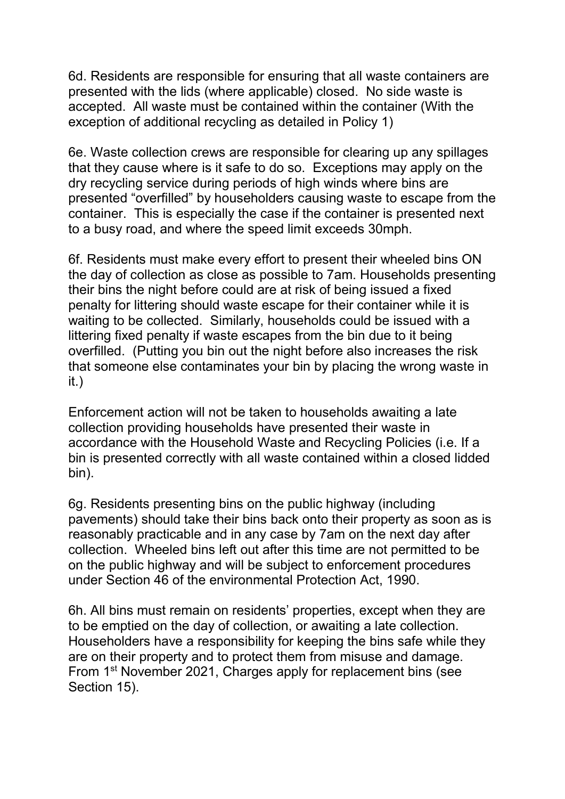6d. Residents are responsible for ensuring that all waste containers are presented with the lids (where applicable) closed. No side waste is accepted. All waste must be contained within the container (With the exception of additional recycling as detailed in Policy 1)

6e. Waste collection crews are responsible for clearing up any spillages that they cause where is it safe to do so. Exceptions may apply on the dry recycling service during periods of high winds where bins are presented "overfilled" by householders causing waste to escape from the container. This is especially the case if the container is presented next to a busy road, and where the speed limit exceeds 30mph.

6f. Residents must make every effort to present their wheeled bins ON the day of collection as close as possible to 7am. Households presenting their bins the night before could are at risk of being issued a fixed penalty for littering should waste escape for their container while it is waiting to be collected. Similarly, households could be issued with a littering fixed penalty if waste escapes from the bin due to it being overfilled. (Putting you bin out the night before also increases the risk that someone else contaminates your bin by placing the wrong waste in it.)

Enforcement action will not be taken to households awaiting a late collection providing households have presented their waste in accordance with the Household Waste and Recycling Policies (i.e. If a bin is presented correctly with all waste contained within a closed lidded bin).

6g. Residents presenting bins on the public highway (including pavements) should take their bins back onto their property as soon as is reasonably practicable and in any case by 7am on the next day after collection. Wheeled bins left out after this time are not permitted to be on the public highway and will be subject to enforcement procedures under Section 46 of the environmental Protection Act, 1990.

6h. All bins must remain on residents' properties, except when they are to be emptied on the day of collection, or awaiting a late collection. Householders have a responsibility for keeping the bins safe while they are on their property and to protect them from misuse and damage. From 1st November 2021, Charges apply for replacement bins (see Section 15).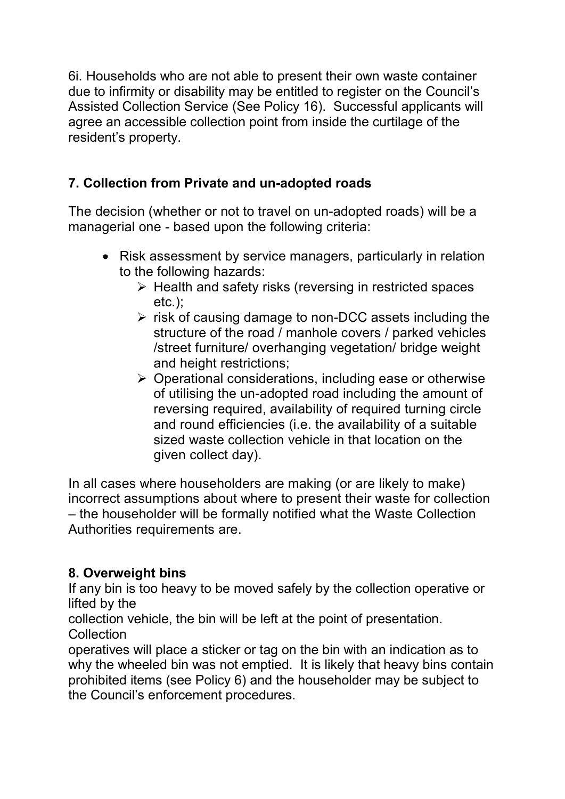6i. Households who are not able to present their own waste container due to infirmity or disability may be entitled to register on the Council's Assisted Collection Service (See Policy 16). Successful applicants will agree an accessible collection point from inside the curtilage of the resident's property.

# **7. Collection from Private and un-adopted roads**

The decision (whether or not to travel on un-adopted roads) will be a managerial one - based upon the following criteria:

- Risk assessment by service managers, particularly in relation to the following hazards:
	- $\triangleright$  Health and safety risks (reversing in restricted spaces etc.);
	- $\triangleright$  risk of causing damage to non-DCC assets including the structure of the road / manhole covers / parked vehicles /street furniture/ overhanging vegetation/ bridge weight and height restrictions;
	- Operational considerations, including ease or otherwise of utilising the un-adopted road including the amount of reversing required, availability of required turning circle and round efficiencies (i.e. the availability of a suitable sized waste collection vehicle in that location on the given collect day).

In all cases where householders are making (or are likely to make) incorrect assumptions about where to present their waste for collection – the householder will be formally notified what the Waste Collection Authorities requirements are.

# **8. Overweight bins**

If any bin is too heavy to be moved safely by the collection operative or lifted by the

collection vehicle, the bin will be left at the point of presentation. **Collection** 

operatives will place a sticker or tag on the bin with an indication as to why the wheeled bin was not emptied. It is likely that heavy bins contain prohibited items (see Policy 6) and the householder may be subject to the Council's enforcement procedures.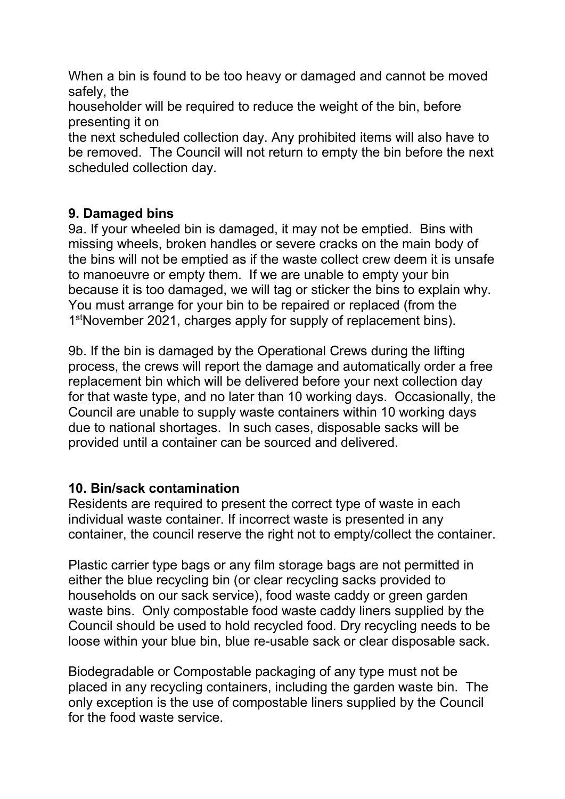When a bin is found to be too heavy or damaged and cannot be moved safely, the

householder will be required to reduce the weight of the bin, before presenting it on

the next scheduled collection day. Any prohibited items will also have to be removed. The Council will not return to empty the bin before the next scheduled collection day.

## **9. Damaged bins**

9a. If your wheeled bin is damaged, it may not be emptied. Bins with missing wheels, broken handles or severe cracks on the main body of the bins will not be emptied as if the waste collect crew deem it is unsafe to manoeuvre or empty them. If we are unable to empty your bin because it is too damaged, we will tag or sticker the bins to explain why. You must arrange for your bin to be repaired or replaced (from the 1<sup>st</sup>November 2021, charges apply for supply of replacement bins).

9b. If the bin is damaged by the Operational Crews during the lifting process, the crews will report the damage and automatically order a free replacement bin which will be delivered before your next collection day for that waste type, and no later than 10 working days. Occasionally, the Council are unable to supply waste containers within 10 working days due to national shortages. In such cases, disposable sacks will be provided until a container can be sourced and delivered.

#### **10. Bin/sack contamination**

Residents are required to present the correct type of waste in each individual waste container. If incorrect waste is presented in any container, the council reserve the right not to empty/collect the container.

Plastic carrier type bags or any film storage bags are not permitted in either the blue recycling bin (or clear recycling sacks provided to households on our sack service), food waste caddy or green garden waste bins. Only compostable food waste caddy liners supplied by the Council should be used to hold recycled food. Dry recycling needs to be loose within your blue bin, blue re-usable sack or clear disposable sack.

Biodegradable or Compostable packaging of any type must not be placed in any recycling containers, including the garden waste bin. The only exception is the use of compostable liners supplied by the Council for the food waste service.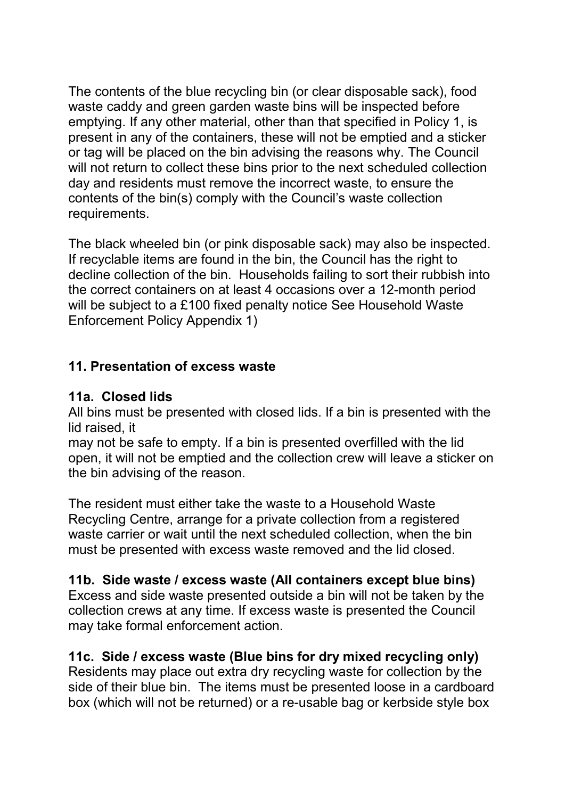The contents of the blue recycling bin (or clear disposable sack), food waste caddy and green garden waste bins will be inspected before emptying. If any other material, other than that specified in Policy 1, is present in any of the containers, these will not be emptied and a sticker or tag will be placed on the bin advising the reasons why. The Council will not return to collect these bins prior to the next scheduled collection day and residents must remove the incorrect waste, to ensure the contents of the bin(s) comply with the Council's waste collection requirements.

The black wheeled bin (or pink disposable sack) may also be inspected. If recyclable items are found in the bin, the Council has the right to decline collection of the bin. Households failing to sort their rubbish into the correct containers on at least 4 occasions over a 12-month period will be subject to a £100 fixed penalty notice See Household Waste Enforcement Policy Appendix 1)

## **11. Presentation of excess waste**

#### **11a. Closed lids**

All bins must be presented with closed lids. If a bin is presented with the lid raised, it

may not be safe to empty. If a bin is presented overfilled with the lid open, it will not be emptied and the collection crew will leave a sticker on the bin advising of the reason.

The resident must either take the waste to a Household Waste Recycling Centre, arrange for a private collection from a registered waste carrier or wait until the next scheduled collection, when the bin must be presented with excess waste removed and the lid closed.

#### **11b. Side waste / excess waste (All containers except blue bins)**

Excess and side waste presented outside a bin will not be taken by the collection crews at any time. If excess waste is presented the Council may take formal enforcement action.

#### **11c. Side / excess waste (Blue bins for dry mixed recycling only)**

Residents may place out extra dry recycling waste for collection by the side of their blue bin. The items must be presented loose in a cardboard box (which will not be returned) or a re-usable bag or kerbside style box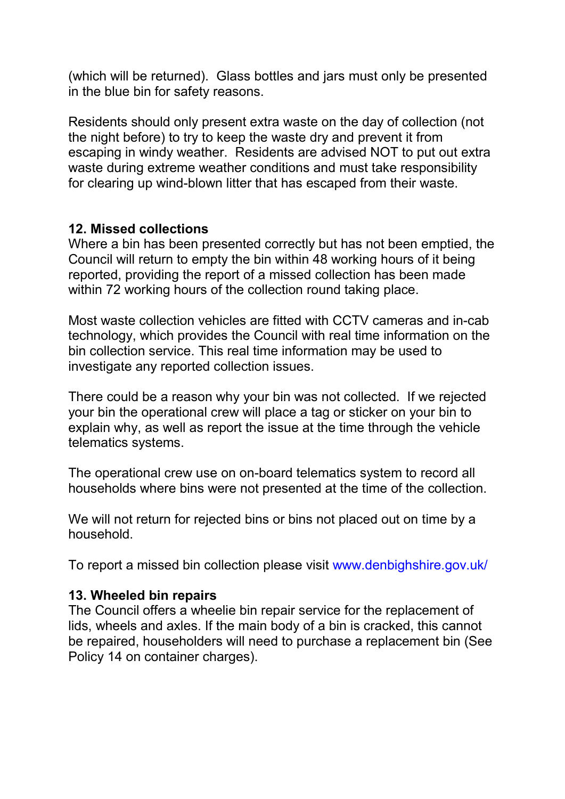(which will be returned). Glass bottles and jars must only be presented in the blue bin for safety reasons.

Residents should only present extra waste on the day of collection (not the night before) to try to keep the waste dry and prevent it from escaping in windy weather. Residents are advised NOT to put out extra waste during extreme weather conditions and must take responsibility for clearing up wind-blown litter that has escaped from their waste.

#### **12. Missed collections**

Where a bin has been presented correctly but has not been emptied, the Council will return to empty the bin within 48 working hours of it being reported, providing the report of a missed collection has been made within 72 working hours of the collection round taking place.

Most waste collection vehicles are fitted with CCTV cameras and in-cab technology, which provides the Council with real time information on the bin collection service. This real time information may be used to investigate any reported collection issues.

There could be a reason why your bin was not collected. If we rejected your bin the operational crew will place a tag or sticker on your bin to explain why, as well as report the issue at the time through the vehicle telematics systems.

The operational crew use on on-board telematics system to record all households where bins were not presented at the time of the collection.

We will not return for rejected bins or bins not placed out on time by a household.

To report a missed bin collection please visit www.denbighshire.gov.uk/

#### **13. Wheeled bin repairs**

The Council offers a wheelie bin repair service for the replacement of lids, wheels and axles. If the main body of a bin is cracked, this cannot be repaired, householders will need to purchase a replacement bin (See Policy 14 on container charges).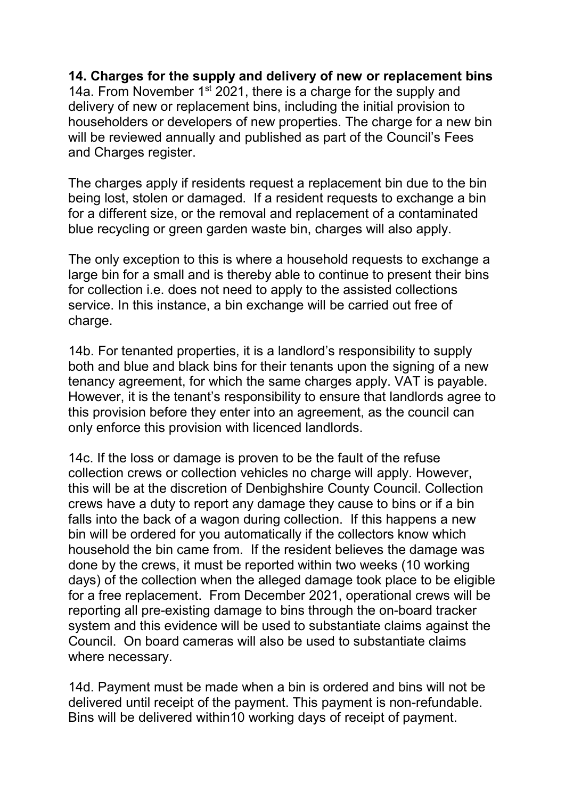#### **14. Charges for the supply and delivery of new or replacement bins**

14a. From November  $1^{st}$  2021, there is a charge for the supply and delivery of new or replacement bins, including the initial provision to householders or developers of new properties. The charge for a new bin will be reviewed annually and published as part of the Council's Fees and Charges register.

The charges apply if residents request a replacement bin due to the bin being lost, stolen or damaged. If a resident requests to exchange a bin for a different size, or the removal and replacement of a contaminated blue recycling or green garden waste bin, charges will also apply.

The only exception to this is where a household requests to exchange a large bin for a small and is thereby able to continue to present their bins for collection i.e. does not need to apply to the assisted collections service. In this instance, a bin exchange will be carried out free of charge.

14b. For tenanted properties, it is a landlord's responsibility to supply both and blue and black bins for their tenants upon the signing of a new tenancy agreement, for which the same charges apply. VAT is payable. However, it is the tenant's responsibility to ensure that landlords agree to this provision before they enter into an agreement, as the council can only enforce this provision with licenced landlords.

14c. If the loss or damage is proven to be the fault of the refuse collection crews or collection vehicles no charge will apply. However, this will be at the discretion of Denbighshire County Council. Collection crews have a duty to report any damage they cause to bins or if a bin falls into the back of a wagon during collection. If this happens a new bin will be ordered for you automatically if the collectors know which household the bin came from. If the resident believes the damage was done by the crews, it must be reported within two weeks (10 working days) of the collection when the alleged damage took place to be eligible for a free replacement. From December 2021, operational crews will be reporting all pre-existing damage to bins through the on-board tracker system and this evidence will be used to substantiate claims against the Council. On board cameras will also be used to substantiate claims where necessary.

14d. Payment must be made when a bin is ordered and bins will not be delivered until receipt of the payment. This payment is non-refundable. Bins will be delivered within10 working days of receipt of payment.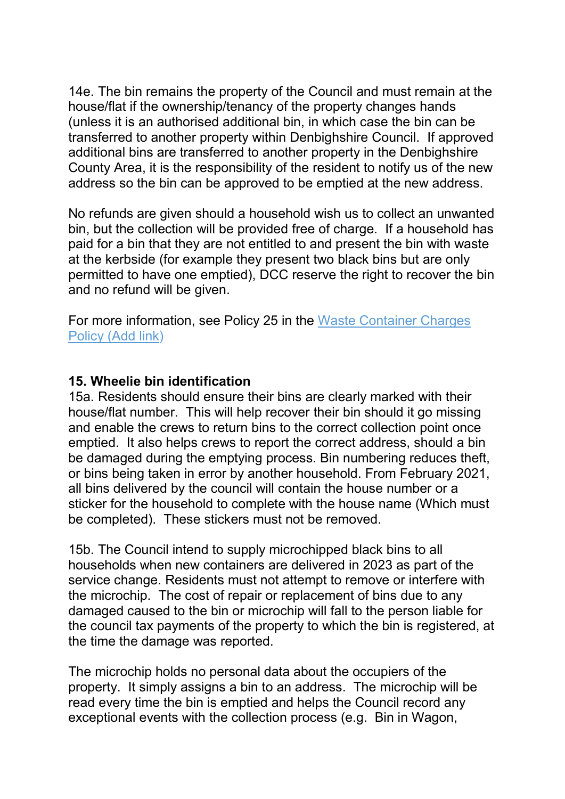14e. The bin remains the property of the Council and must remain at the house/flat if the ownership/tenancy of the property changes hands (unless it is an authorised additional bin, in which case the bin can be transferred to another property within Denbighshire Council. If approved additional bins are transferred to another property in the Denbighshire County Area, it is the responsibility of the resident to notify us of the new address so the bin can be approved to be emptied at the new address.

No refunds are given should a household wish us to collect an unwanted bin, but the collection will be provided free of charge. If a household has paid for a bin that they are not entitled to and present the bin with waste at the kerbside (for example they present two black bins but are only permitted to have one emptied), DCC reserve the right to recover the bin and no refund will be given.

For more information, see Policy 25 in the Waste Container Charges Policy (Add link)

#### **15. Wheelie bin identification**

15a. Residents should ensure their bins are clearly marked with their house/flat number. This will help recover their bin should it go missing and enable the crews to return bins to the correct collection point once emptied. It also helps crews to report the correct address, should a bin be damaged during the emptying process. Bin numbering reduces theft, or bins being taken in error by another household. From February 2021, all bins delivered by the council will contain the house number or a sticker for the household to complete with the house name (Which must be completed). These stickers must not be removed.

15b. The Council intend to supply microchipped black bins to all households when new containers are delivered in 2023 as part of the service change. Residents must not attempt to remove or interfere with the microchip. The cost of repair or replacement of bins due to any damaged caused to the bin or microchip will fall to the person liable for the council tax payments of the property to which the bin is registered, at the time the damage was reported.

The microchip holds no personal data about the occupiers of the property. It simply assigns a bin to an address. The microchip will be read every time the bin is emptied and helps the Council record any exceptional events with the collection process (e.g. Bin in Wagon,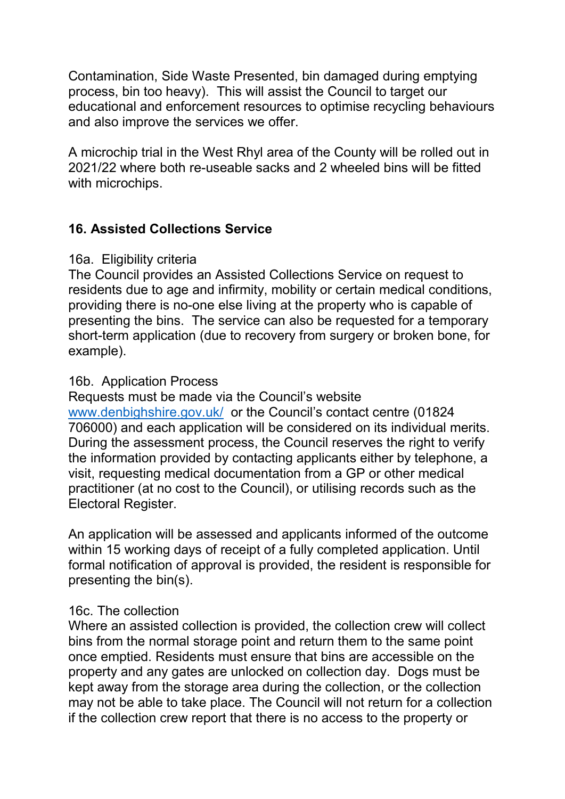Contamination, Side Waste Presented, bin damaged during emptying process, bin too heavy). This will assist the Council to target our educational and enforcement resources to optimise recycling behaviours and also improve the services we offer.

A microchip trial in the West Rhyl area of the County will be rolled out in 2021/22 where both re-useable sacks and 2 wheeled bins will be fitted with microchips.

# **16. Assisted Collections Service**

#### 16a. Eligibility criteria

The Council provides an Assisted Collections Service on request to residents due to age and infirmity, mobility or certain medical conditions, providing there is no-one else living at the property who is capable of presenting the bins. The service can also be requested for a temporary short-term application (due to recovery from surgery or broken bone, for example).

#### 16b. Application Process

Requests must be made via the Council's website [www.denbighshire.gov.uk/](http://www.denbighshire.gov.uk/) or the Council's contact centre (01824 706000) and each application will be considered on its individual merits. During the assessment process, the Council reserves the right to verify the information provided by contacting applicants either by telephone, a visit, requesting medical documentation from a GP or other medical practitioner (at no cost to the Council), or utilising records such as the Electoral Register.

An application will be assessed and applicants informed of the outcome within 15 working days of receipt of a fully completed application. Until formal notification of approval is provided, the resident is responsible for presenting the bin(s).

#### 16c. The collection

Where an assisted collection is provided, the collection crew will collect bins from the normal storage point and return them to the same point once emptied. Residents must ensure that bins are accessible on the property and any gates are unlocked on collection day. Dogs must be kept away from the storage area during the collection, or the collection may not be able to take place. The Council will not return for a collection if the collection crew report that there is no access to the property or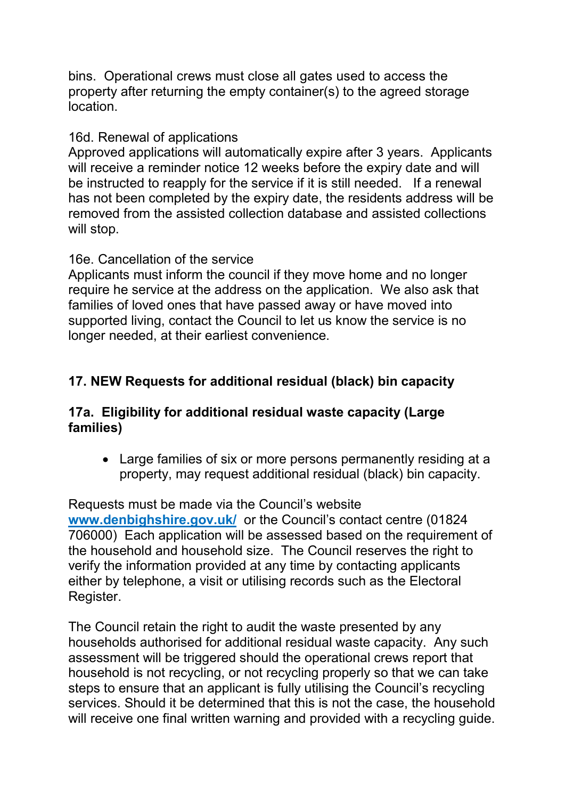bins. Operational crews must close all gates used to access the property after returning the empty container(s) to the agreed storage location.

#### 16d. Renewal of applications

Approved applications will automatically expire after 3 years. Applicants will receive a reminder notice 12 weeks before the expiry date and will be instructed to reapply for the service if it is still needed. If a renewal has not been completed by the expiry date, the residents address will be removed from the assisted collection database and assisted collections will stop.

## 16e. Cancellation of the service

Applicants must inform the council if they move home and no longer require he service at the address on the application. We also ask that families of loved ones that have passed away or have moved into supported living, contact the Council to let us know the service is no longer needed, at their earliest convenience.

# **17. NEW Requests for additional residual (black) bin capacity**

#### **17a. Eligibility for additional residual waste capacity (Large families)**

• Large families of six or more persons permanently residing at a property, may request additional residual (black) bin capacity.

Requests must be made via the Council's website **[www.denbighshire.gov.uk/](http://www.denbighshire.gov.uk/)** or the Council's contact centre (01824 706000) Each application will be assessed based on the requirement of the household and household size. The Council reserves the right to verify the information provided at any time by contacting applicants either by telephone, a visit or utilising records such as the Electoral Register.

The Council retain the right to audit the waste presented by any households authorised for additional residual waste capacity. Any such assessment will be triggered should the operational crews report that household is not recycling, or not recycling properly so that we can take steps to ensure that an applicant is fully utilising the Council's recycling services. Should it be determined that this is not the case, the household will receive one final written warning and provided with a recycling guide.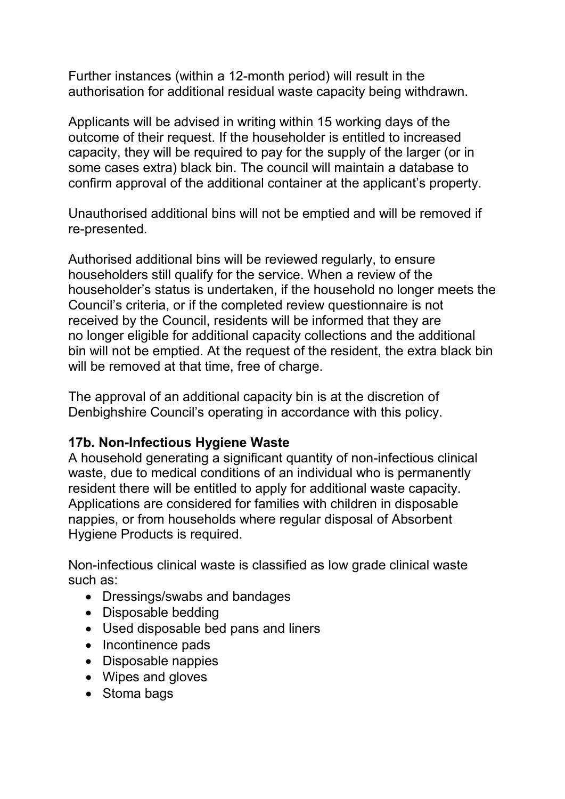Further instances (within a 12-month period) will result in the authorisation for additional residual waste capacity being withdrawn.

Applicants will be advised in writing within 15 working days of the outcome of their request. If the householder is entitled to increased capacity, they will be required to pay for the supply of the larger (or in some cases extra) black bin. The council will maintain a database to confirm approval of the additional container at the applicant's property.

Unauthorised additional bins will not be emptied and will be removed if re-presented.

Authorised additional bins will be reviewed regularly, to ensure householders still qualify for the service. When a review of the householder's status is undertaken, if the household no longer meets the Council's criteria, or if the completed review questionnaire is not received by the Council, residents will be informed that they are no longer eligible for additional capacity collections and the additional bin will not be emptied. At the request of the resident, the extra black bin will be removed at that time, free of charge.

The approval of an additional capacity bin is at the discretion of Denbighshire Council's operating in accordance with this policy.

#### **17b. Non-Infectious Hygiene Waste**

A household generating a significant quantity of non-infectious clinical waste, due to medical conditions of an individual who is permanently resident there will be entitled to apply for additional waste capacity. Applications are considered for families with children in disposable nappies, or from households where regular disposal of Absorbent Hygiene Products is required.

Non-infectious clinical waste is classified as low grade clinical waste such as:

- Dressings/swabs and bandages
- Disposable bedding
- Used disposable bed pans and liners
- Incontinence pads
- Disposable nappies
- Wipes and gloves
- Stoma bags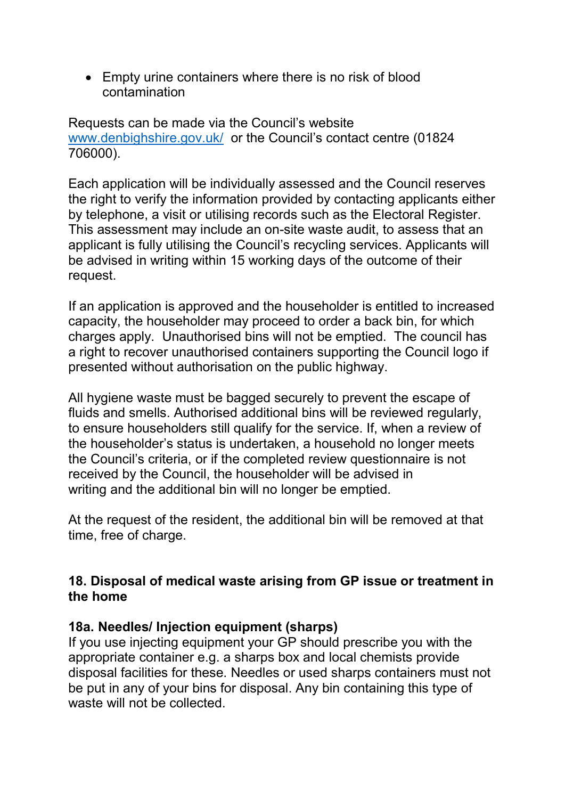• Empty urine containers where there is no risk of blood contamination

Requests can be made via the Council's website [www.denbighshire.gov.uk/](http://www.denbighshire.gov.uk/) or the Council's contact centre (01824 706000).

Each application will be individually assessed and the Council reserves the right to verify the information provided by contacting applicants either by telephone, a visit or utilising records such as the Electoral Register. This assessment may include an on-site waste audit, to assess that an applicant is fully utilising the Council's recycling services. Applicants will be advised in writing within 15 working days of the outcome of their request.

If an application is approved and the householder is entitled to increased capacity, the householder may proceed to order a back bin, for which charges apply. Unauthorised bins will not be emptied. The council has a right to recover unauthorised containers supporting the Council logo if presented without authorisation on the public highway.

All hygiene waste must be bagged securely to prevent the escape of fluids and smells. Authorised additional bins will be reviewed regularly, to ensure householders still qualify for the service. If, when a review of the householder's status is undertaken, a household no longer meets the Council's criteria, or if the completed review questionnaire is not received by the Council, the householder will be advised in writing and the additional bin will no longer be emptied.

At the request of the resident, the additional bin will be removed at that time, free of charge.

#### **18. Disposal of medical waste arising from GP issue or treatment in the home**

#### **18a. Needles/ Injection equipment (sharps)**

If you use injecting equipment your GP should prescribe you with the appropriate container e.g. a sharps box and local chemists provide disposal facilities for these. Needles or used sharps containers must not be put in any of your bins for disposal. Any bin containing this type of waste will not be collected.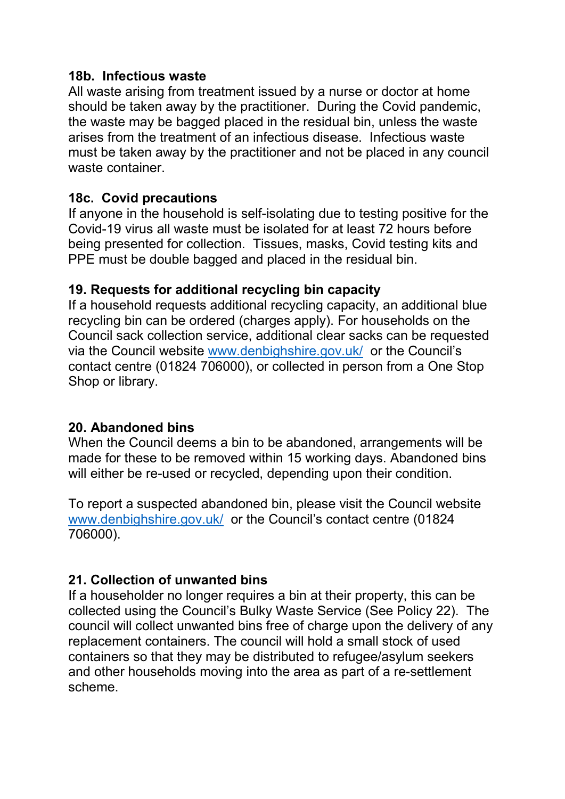#### **18b. Infectious waste**

All waste arising from treatment issued by a nurse or doctor at home should be taken away by the practitioner. During the Covid pandemic, the waste may be bagged placed in the residual bin, unless the waste arises from the treatment of an infectious disease. Infectious waste must be taken away by the practitioner and not be placed in any council waste container.

## **18c. Covid precautions**

If anyone in the household is self-isolating due to testing positive for the Covid-19 virus all waste must be isolated for at least 72 hours before being presented for collection. Tissues, masks, Covid testing kits and PPE must be double bagged and placed in the residual bin.

## **19. Requests for additional recycling bin capacity**

If a household requests additional recycling capacity, an additional blue recycling bin can be ordered (charges apply). For households on the Council sack collection service, additional clear sacks can be requested via the Council website [www.denbighshire.gov.uk/](http://www.denbighshire.gov.uk/) or the Council's contact centre (01824 706000), or collected in person from a One Stop Shop or library.

# **20. Abandoned bins**

When the Council deems a bin to be abandoned, arrangements will be made for these to be removed within 15 working days. Abandoned bins will either be re-used or recycled, depending upon their condition.

To report a suspected abandoned bin, please visit the Council website [www.denbighshire.gov.uk/](http://www.denbighshire.gov.uk/) or the Council's contact centre (01824 706000).

# **21. Collection of unwanted bins**

If a householder no longer requires a bin at their property, this can be collected using the Council's Bulky Waste Service (See Policy 22). The council will collect unwanted bins free of charge upon the delivery of any replacement containers. The council will hold a small stock of used containers so that they may be distributed to refugee/asylum seekers and other households moving into the area as part of a re-settlement scheme.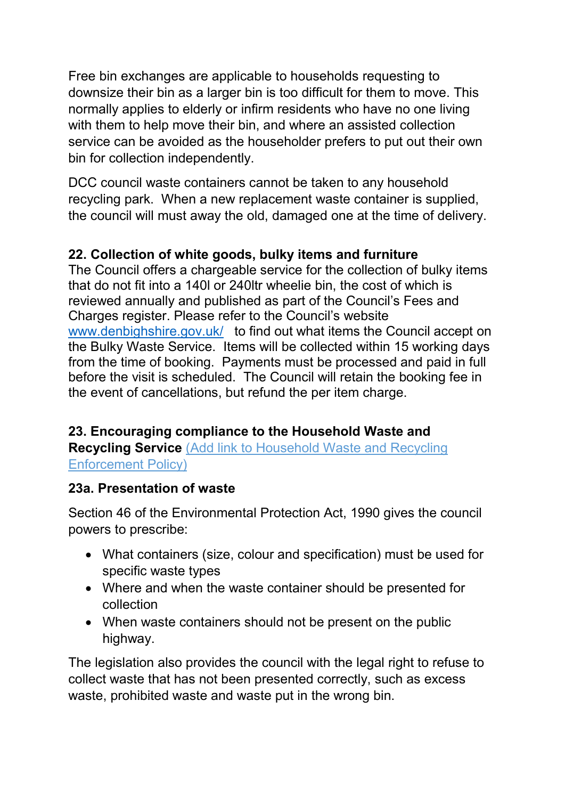Free bin exchanges are applicable to households requesting to downsize their bin as a larger bin is too difficult for them to move. This normally applies to elderly or infirm residents who have no one living with them to help move their bin, and where an assisted collection service can be avoided as the householder prefers to put out their own bin for collection independently.

DCC council waste containers cannot be taken to any household recycling park. When a new replacement waste container is supplied, the council will must away the old, damaged one at the time of delivery.

# **22. Collection of white goods, bulky items and furniture**

The Council offers a chargeable service for the collection of bulky items that do not fit into a 140l or 240ltr wheelie bin, the cost of which is reviewed annually and published as part of the Council's Fees and Charges register. Please refer to the Council's website [www.denbighshire.gov.uk/](http://www.denbighshire.gov.uk/) to find out what items the Council accept on the Bulky Waste Service. Items will be collected within 15 working days from the time of booking. Payments must be processed and paid in full before the visit is scheduled. The Council will retain the booking fee in the event of cancellations, but refund the per item charge.

# **23. Encouraging compliance to the Household Waste and Recycling Service** (Add link to Household Waste and Recycling

Enforcement Policy)

# **23a. Presentation of waste**

Section 46 of the Environmental Protection Act, 1990 gives the council powers to prescribe:

- What containers (size, colour and specification) must be used for specific waste types
- Where and when the waste container should be presented for collection
- When waste containers should not be present on the public highway.

The legislation also provides the council with the legal right to refuse to collect waste that has not been presented correctly, such as excess waste, prohibited waste and waste put in the wrong bin.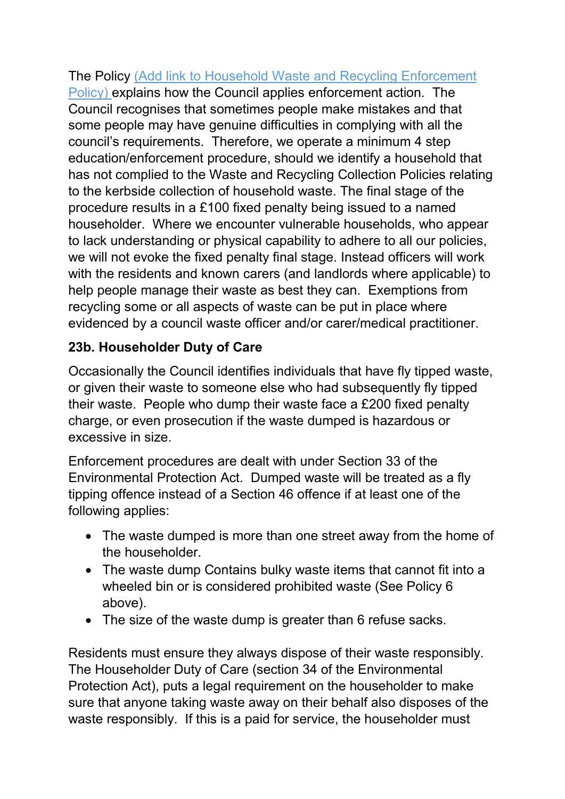The Policy (Add link to Household Waste and Recycling Enforcement Policy) explains how the Council applies enforcement action. The Council recognises that sometimes people make mistakes and that some people may have genuine difficulties in complying with all the council's requirements. Therefore, we operate a minimum 4 step education/enforcement procedure, should we identify a household that has not complied to the Waste and Recycling Collection Policies relating to the kerbside collection of household waste. The final stage of the procedure results in a £100 fixed penalty being issued to a named householder. Where we encounter vulnerable households, who appear to lack understanding or physical capability to adhere to all our policies, we will not evoke the fixed penalty final stage. Instead officers will work with the residents and known carers (and landlords where applicable) to help people manage their waste as best they can. Exemptions from recycling some or all aspects of waste can be put in place where evidenced by a council waste officer and/or carer/medical practitioner.

# **23b. Householder Duty of Care**

Occasionally the Council identifies individuals that have fly tipped waste, or given their waste to someone else who had subsequently fly tipped their waste. People who dump their waste face a £200 fixed penalty charge, or even prosecution if the waste dumped is hazardous or excessive in size.

Enforcement procedures are dealt with under Section 33 of the Environmental Protection Act. Dumped waste will be treated as a fly tipping offence instead of a Section 46 offence if at least one of the following applies:

- The waste dumped is more than one street away from the home of the householder.
- The waste dump Contains bulky waste items that cannot fit into a wheeled bin or is considered prohibited waste (See Policy 6 above).
- The size of the waste dump is greater than 6 refuse sacks.

Residents must ensure they always dispose of their waste responsibly. The Householder Duty of Care (section 34 of the Environmental Protection Act), puts a legal requirement on the householder to make sure that anyone taking waste away on their behalf also disposes of the waste responsibly. If this is a paid for service, the householder must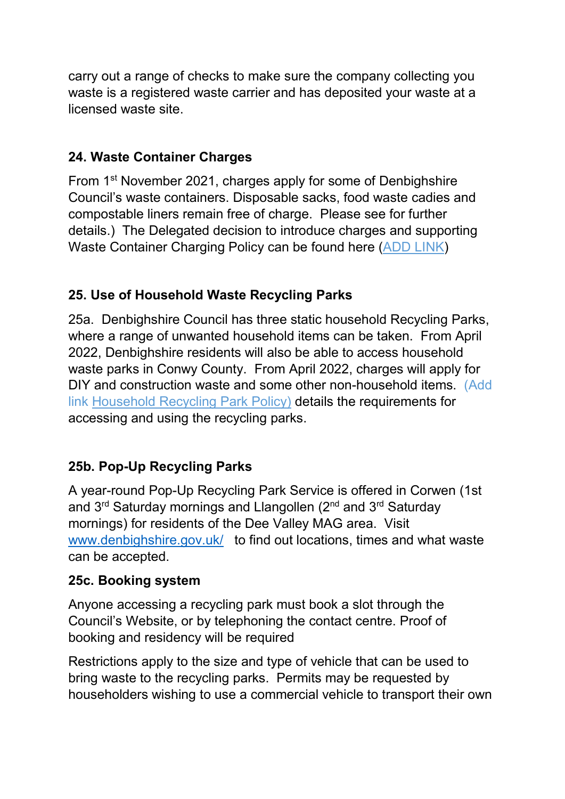carry out a range of checks to make sure the company collecting you waste is a registered waste carrier and has deposited your waste at a licensed waste site.

# **24. Waste Container Charges**

From 1st November 2021, charges apply for some of Denbighshire Council's waste containers. Disposable sacks, food waste cadies and compostable liners remain free of charge. Please see for further details.) The Delegated decision to introduce charges and supporting Waste Container Charging Policy can be found here (ADD LINK)

# **25. Use of Household Waste Recycling Parks**

25a. Denbighshire Council has three static household Recycling Parks, where a range of unwanted household items can be taken. From April 2022, Denbighshire residents will also be able to access household waste parks in Conwy County. From April 2022, charges will apply for DIY and construction waste and some other non-household items. (Add link Household Recycling Park Policy) details the requirements for accessing and using the recycling parks.

# **25b. Pop-Up Recycling Parks**

A year-round Pop-Up Recycling Park Service is offered in Corwen (1st and 3<sup>rd</sup> Saturday mornings and Llangollen (2<sup>nd</sup> and 3<sup>rd</sup> Saturday mornings) for residents of the Dee Valley MAG area. Visit [www.denbighshire.gov.uk/](http://www.denbighshire.gov.uk/) to find out locations, times and what waste can be accepted.

#### **25c. Booking system**

Anyone accessing a recycling park must book a slot through the Council's Website, or by telephoning the contact centre. Proof of booking and residency will be required

Restrictions apply to the size and type of vehicle that can be used to bring waste to the recycling parks. Permits may be requested by householders wishing to use a commercial vehicle to transport their own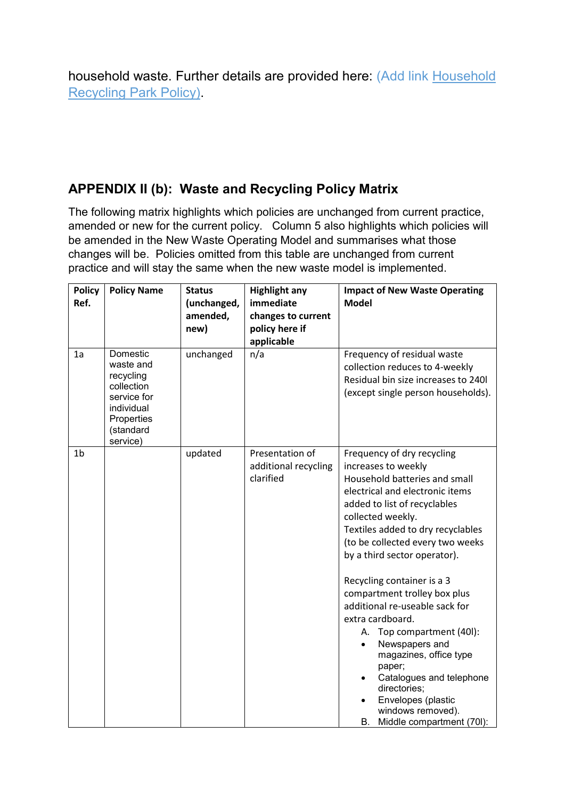household waste. Further details are provided here: (Add link Household Recycling Park Policy).

# **APPENDIX II (b): Waste and Recycling Policy Matrix**

The following matrix highlights which policies are unchanged from current practice, amended or new for the current policy. Column 5 also highlights which policies will be amended in the New Waste Operating Model and summarises what those changes will be. Policies omitted from this table are unchanged from current practice and will stay the same when the new waste model is implemented.

| <b>Policy</b><br>Ref. | <b>Policy Name</b>                                                                                                   | <b>Status</b><br>(unchanged,<br>amended,<br>new) | <b>Highlight any</b><br>immediate<br>changes to current<br>policy here if<br>applicable | <b>Impact of New Waste Operating</b><br><b>Model</b>                                                                                                                                                                                                                                                                                                                                                                                                                                                                                                                                                                                           |
|-----------------------|----------------------------------------------------------------------------------------------------------------------|--------------------------------------------------|-----------------------------------------------------------------------------------------|------------------------------------------------------------------------------------------------------------------------------------------------------------------------------------------------------------------------------------------------------------------------------------------------------------------------------------------------------------------------------------------------------------------------------------------------------------------------------------------------------------------------------------------------------------------------------------------------------------------------------------------------|
| 1a                    | Domestic<br>waste and<br>recycling<br>collection<br>service for<br>individual<br>Properties<br>(standard<br>service) | unchanged                                        | n/a                                                                                     | Frequency of residual waste<br>collection reduces to 4-weekly<br>Residual bin size increases to 240l<br>(except single person households).                                                                                                                                                                                                                                                                                                                                                                                                                                                                                                     |
| 1 <sub>b</sub>        |                                                                                                                      | updated                                          | Presentation of<br>additional recycling<br>clarified                                    | Frequency of dry recycling<br>increases to weekly<br>Household batteries and small<br>electrical and electronic items<br>added to list of recyclables<br>collected weekly.<br>Textiles added to dry recyclables<br>(to be collected every two weeks<br>by a third sector operator).<br>Recycling container is a 3<br>compartment trolley box plus<br>additional re-useable sack for<br>extra cardboard.<br>A. Top compartment (40I):<br>Newspapers and<br>$\bullet$<br>magazines, office type<br>paper;<br>Catalogues and telephone<br>$\bullet$<br>directories;<br>Envelopes (plastic<br>windows removed).<br>Middle compartment (70I):<br>В. |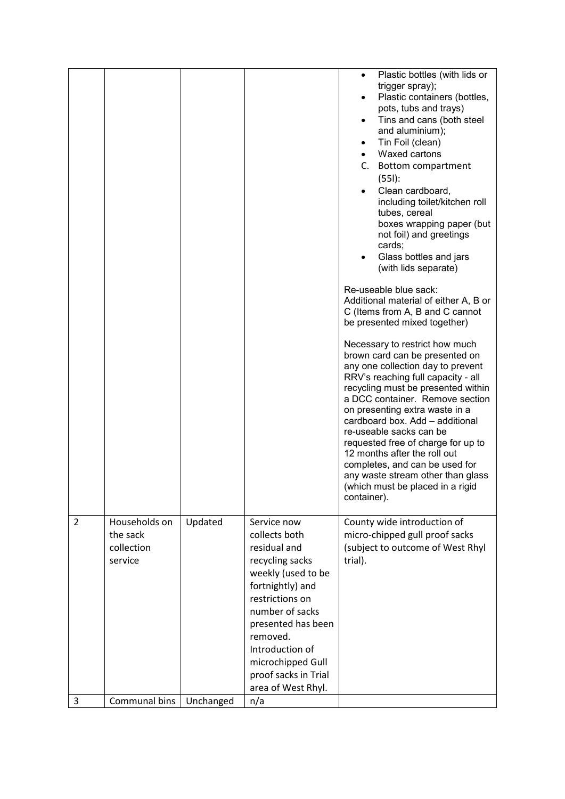|                     |                                                                     |                      |                                                                                                                                                                                                                                                                                | Plastic bottles (with lids or<br>$\bullet$<br>trigger spray);<br>Plastic containers (bottles,<br>pots, tubs and trays)<br>Tins and cans (both steel<br>and aluminium);<br>Tin Foil (clean)<br>$\bullet$<br>Waxed cartons<br>Bottom compartment<br>C.<br>$(551)$ :<br>Clean cardboard,<br>including toilet/kitchen roll<br>tubes, cereal<br>boxes wrapping paper (but<br>not foil) and greetings<br>cards;<br>Glass bottles and jars<br>(with lids separate)                                                                                                                                                                                               |
|---------------------|---------------------------------------------------------------------|----------------------|--------------------------------------------------------------------------------------------------------------------------------------------------------------------------------------------------------------------------------------------------------------------------------|-----------------------------------------------------------------------------------------------------------------------------------------------------------------------------------------------------------------------------------------------------------------------------------------------------------------------------------------------------------------------------------------------------------------------------------------------------------------------------------------------------------------------------------------------------------------------------------------------------------------------------------------------------------|
|                     |                                                                     |                      |                                                                                                                                                                                                                                                                                | Re-useable blue sack:<br>Additional material of either A, B or<br>C (Items from A, B and C cannot<br>be presented mixed together)<br>Necessary to restrict how much<br>brown card can be presented on<br>any one collection day to prevent<br>RRV's reaching full capacity - all<br>recycling must be presented within<br>a DCC container. Remove section<br>on presenting extra waste in a<br>cardboard box. Add - additional<br>re-useable sacks can be<br>requested free of charge for up to<br>12 months after the roll out<br>completes, and can be used for<br>any waste stream other than glass<br>(which must be placed in a rigid<br>container). |
| $\overline{2}$<br>3 | Households on<br>the sack<br>collection<br>service<br>Communal bins | Updated<br>Unchanged | Service now<br>collects both<br>residual and<br>recycling sacks<br>weekly (used to be<br>fortnightly) and<br>restrictions on<br>number of sacks<br>presented has been<br>removed.<br>Introduction of<br>microchipped Gull<br>proof sacks in Trial<br>area of West Rhyl.<br>n/a | County wide introduction of<br>micro-chipped gull proof sacks<br>(subject to outcome of West Rhyl<br>trial).                                                                                                                                                                                                                                                                                                                                                                                                                                                                                                                                              |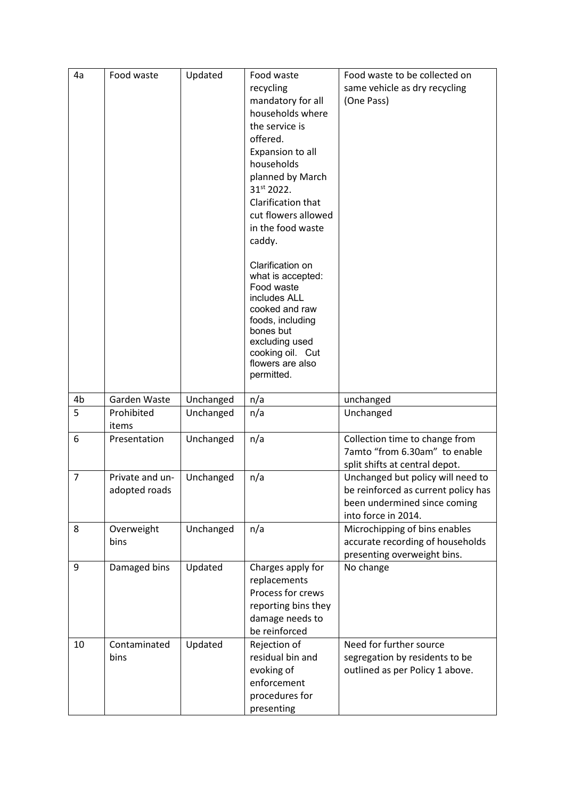| 4a             | Food waste      | Updated   | Food waste                           | Food waste to be collected on                                       |
|----------------|-----------------|-----------|--------------------------------------|---------------------------------------------------------------------|
|                |                 |           | recycling                            | same vehicle as dry recycling                                       |
|                |                 |           | mandatory for all                    | (One Pass)                                                          |
|                |                 |           | households where                     |                                                                     |
|                |                 |           | the service is                       |                                                                     |
|                |                 |           | offered.                             |                                                                     |
|                |                 |           | Expansion to all                     |                                                                     |
|                |                 |           | households                           |                                                                     |
|                |                 |           | planned by March                     |                                                                     |
|                |                 |           | 31st 2022.                           |                                                                     |
|                |                 |           | Clarification that                   |                                                                     |
|                |                 |           | cut flowers allowed                  |                                                                     |
|                |                 |           | in the food waste                    |                                                                     |
|                |                 |           | caddy.                               |                                                                     |
|                |                 |           | Clarification on                     |                                                                     |
|                |                 |           | what is accepted:                    |                                                                     |
|                |                 |           | Food waste<br>includes ALL           |                                                                     |
|                |                 |           | cooked and raw                       |                                                                     |
|                |                 |           | foods, including                     |                                                                     |
|                |                 |           | bones but                            |                                                                     |
|                |                 |           | excluding used                       |                                                                     |
|                |                 |           | cooking oil. Cut<br>flowers are also |                                                                     |
|                |                 |           | permitted.                           |                                                                     |
|                |                 |           |                                      |                                                                     |
| 4b             | Garden Waste    | Unchanged | n/a                                  | unchanged                                                           |
| 5              | Prohibited      | Unchanged | n/a                                  | Unchanged                                                           |
|                | items           |           |                                      |                                                                     |
| 6              | Presentation    | Unchanged | n/a                                  | Collection time to change from                                      |
|                |                 |           |                                      | 7amto "from 6.30am" to enable                                       |
|                |                 |           |                                      | split shifts at central depot.                                      |
| $\overline{7}$ | Private and un- | Unchanged | n/a                                  | Unchanged but policy will need to                                   |
|                | adopted roads   |           |                                      | be reinforced as current policy has<br>been undermined since coming |
|                |                 |           |                                      | into force in 2014.                                                 |
| 8              | Overweight      | Unchanged | n/a                                  | Microchipping of bins enables                                       |
|                | bins            |           |                                      | accurate recording of households                                    |
|                |                 |           |                                      | presenting overweight bins.                                         |
| 9              | Damaged bins    | Updated   | Charges apply for                    | No change                                                           |
|                |                 |           | replacements                         |                                                                     |
|                |                 |           | Process for crews                    |                                                                     |
|                |                 |           | reporting bins they                  |                                                                     |
|                |                 |           | damage needs to                      |                                                                     |
|                |                 |           | be reinforced                        |                                                                     |
| 10             |                 |           |                                      |                                                                     |
|                | Contaminated    | Updated   | Rejection of                         | Need for further source                                             |
|                | bins            |           | residual bin and                     | segregation by residents to be                                      |
|                |                 |           | evoking of                           | outlined as per Policy 1 above.                                     |
|                |                 |           | enforcement                          |                                                                     |
|                |                 |           | procedures for<br>presenting         |                                                                     |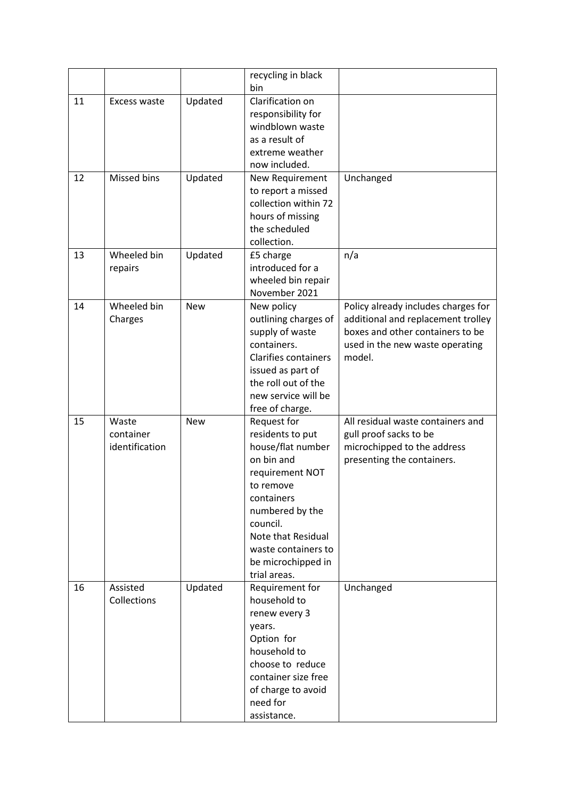|    |                                      |            | recycling in black<br>bin                                                                                                                                                                                                          |                                                                                                                                                            |
|----|--------------------------------------|------------|------------------------------------------------------------------------------------------------------------------------------------------------------------------------------------------------------------------------------------|------------------------------------------------------------------------------------------------------------------------------------------------------------|
| 11 | Excess waste                         | Updated    | Clarification on<br>responsibility for<br>windblown waste<br>as a result of<br>extreme weather<br>now included.                                                                                                                    |                                                                                                                                                            |
| 12 | Missed bins                          | Updated    | New Requirement<br>to report a missed<br>collection within 72<br>hours of missing<br>the scheduled<br>collection.                                                                                                                  | Unchanged                                                                                                                                                  |
| 13 | Wheeled bin<br>repairs               | Updated    | £5 charge<br>introduced for a<br>wheeled bin repair<br>November 2021                                                                                                                                                               | n/a                                                                                                                                                        |
| 14 | Wheeled bin<br>Charges               | <b>New</b> | New policy<br>outlining charges of<br>supply of waste<br>containers.<br><b>Clarifies containers</b><br>issued as part of<br>the roll out of the<br>new service will be<br>free of charge.                                          | Policy already includes charges for<br>additional and replacement trolley<br>boxes and other containers to be<br>used in the new waste operating<br>model. |
| 15 | Waste<br>container<br>identification | <b>New</b> | Request for<br>residents to put<br>house/flat number<br>on bin and<br>requirement NOT<br>to remove<br>containers<br>numbered by the<br>council.<br>Note that Residual<br>waste containers to<br>be microchipped in<br>trial areas. | All residual waste containers and<br>gull proof sacks to be<br>microchipped to the address<br>presenting the containers.                                   |
| 16 | Assisted<br>Collections              | Updated    | Requirement for<br>household to<br>renew every 3<br>years.<br>Option for<br>household to<br>choose to reduce<br>container size free<br>of charge to avoid<br>need for<br>assistance.                                               | Unchanged                                                                                                                                                  |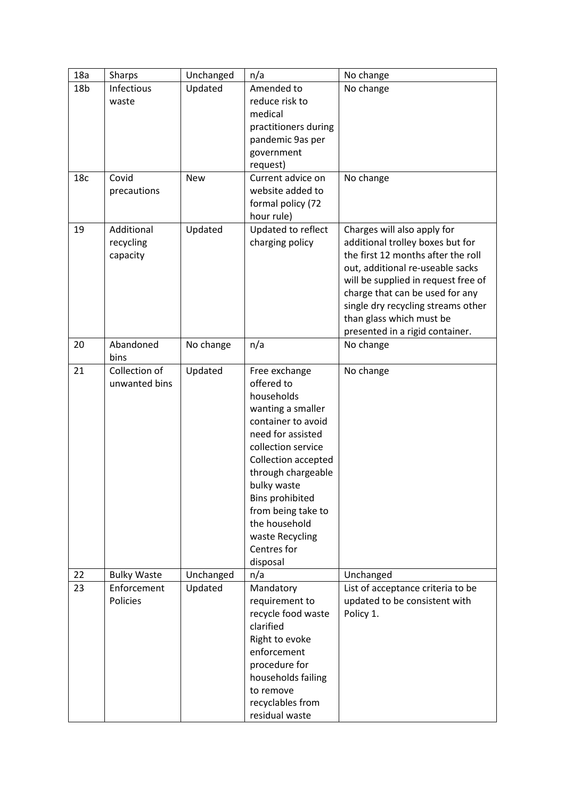| 18a             | Sharps                              | Unchanged  | n/a                                                                                                                                                                                                                                                                                                        | No change                                                                                                                                                                                                                                                                                                                |
|-----------------|-------------------------------------|------------|------------------------------------------------------------------------------------------------------------------------------------------------------------------------------------------------------------------------------------------------------------------------------------------------------------|--------------------------------------------------------------------------------------------------------------------------------------------------------------------------------------------------------------------------------------------------------------------------------------------------------------------------|
| 18 <sub>b</sub> | Infectious<br>waste                 | Updated    | Amended to<br>reduce risk to<br>medical<br>practitioners during<br>pandemic 9as per<br>government<br>request)                                                                                                                                                                                              | No change                                                                                                                                                                                                                                                                                                                |
| 18 <sub>c</sub> | Covid<br>precautions                | <b>New</b> | Current advice on<br>website added to<br>formal policy (72<br>hour rule)                                                                                                                                                                                                                                   | No change                                                                                                                                                                                                                                                                                                                |
| 19              | Additional<br>recycling<br>capacity | Updated    | Updated to reflect<br>charging policy                                                                                                                                                                                                                                                                      | Charges will also apply for<br>additional trolley boxes but for<br>the first 12 months after the roll<br>out, additional re-useable sacks<br>will be supplied in request free of<br>charge that can be used for any<br>single dry recycling streams other<br>than glass which must be<br>presented in a rigid container. |
| 20              | Abandoned<br>bins                   | No change  | n/a                                                                                                                                                                                                                                                                                                        | No change                                                                                                                                                                                                                                                                                                                |
| 21              | Collection of<br>unwanted bins      | Updated    | Free exchange<br>offered to<br>households<br>wanting a smaller<br>container to avoid<br>need for assisted<br>collection service<br>Collection accepted<br>through chargeable<br>bulky waste<br><b>Bins prohibited</b><br>from being take to<br>the household<br>waste Recycling<br>Centres for<br>disposal | No change                                                                                                                                                                                                                                                                                                                |
| 22              | <b>Bulky Waste</b>                  | Unchanged  | n/a                                                                                                                                                                                                                                                                                                        | Unchanged                                                                                                                                                                                                                                                                                                                |
| 23              | Enforcement<br>Policies             | Updated    | Mandatory<br>requirement to<br>recycle food waste<br>clarified<br>Right to evoke<br>enforcement<br>procedure for<br>households failing<br>to remove<br>recyclables from<br>residual waste                                                                                                                  | List of acceptance criteria to be<br>updated to be consistent with<br>Policy 1.                                                                                                                                                                                                                                          |